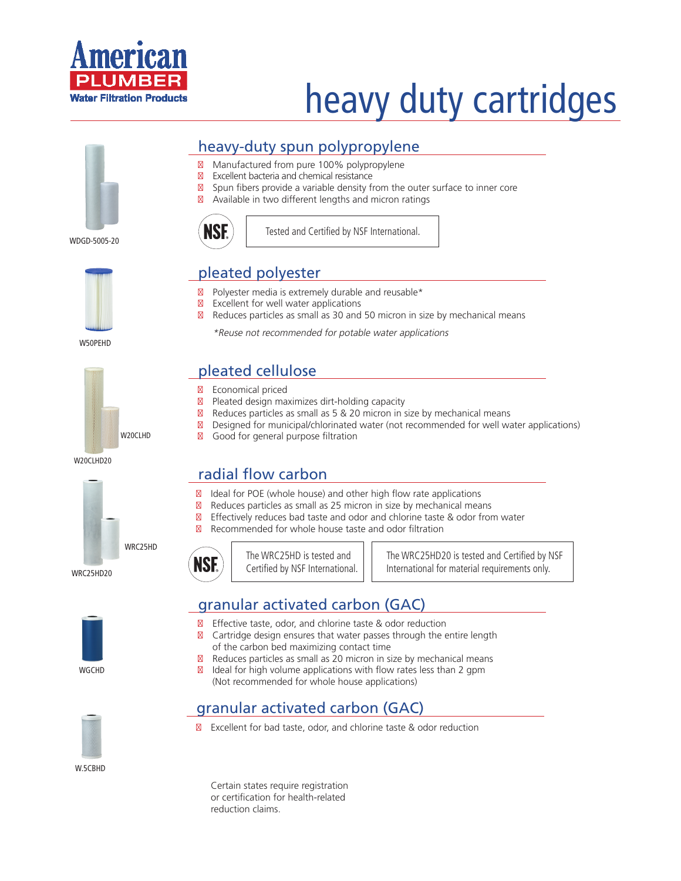

# heavy duty cartridges

#### heavy-duty spun polypropylene

Manufactured from pure 100% polypropylene Excellent bacteria and chemical resistance Spun fibers provide a variable density from the outer surface to inner core Available in two different lengths and micron ratings

WDGD-5005-20



W50PEHD



W20CLHD20



WRC25HD20



The WRC25HD is tested and Certified by NSF International.

The WRC25HD20 is tested and Certified by NSF International for material requirements only.

#### granular activated carbon (GAC)

Effective taste, odor, and chlorine taste & odor reduction Cartridge design ensures that water passes through the entire length of the carbon bed maximizing contact time Reduces particles as small as 20 micron in size by mechanical means Ideal for high volume applications with flow rates less than 2 gpm (Not recommended for whole house applications)

#### granular activated carbon (GAC)

Excellent for bad taste, odor, and chlorine taste & odor reduction

Certain states require registration or certification for health-related reduction claims.



Tested and Certified by NSF International.

#### pleated polyester

Polyester media is extremely durable and reusable\* Excellent for well water applications Reduces particles as small as 30 and 50 micron in size by mechanical means

\*Reuse not recommended for potable water applications

### pleated cellulose

Economical priced

Pleated design maximizes dirt-holding capacity Reduces particles as small as 5 & 20 micron in size by mechanical means Designed for municipal/chlorinated water (not recommended for well water applications) W20CLHD Good for general purpose filtration

## radial flow carbon

**NSE** 

Ideal for POE (whole house) and other high flow rate applications Reduces particles as small as 25 micron in size by mechanical means Effectively reduces bad taste and odor and chlorine taste & odor from water Recommended for whole house taste and odor filtration







W.5CBHD